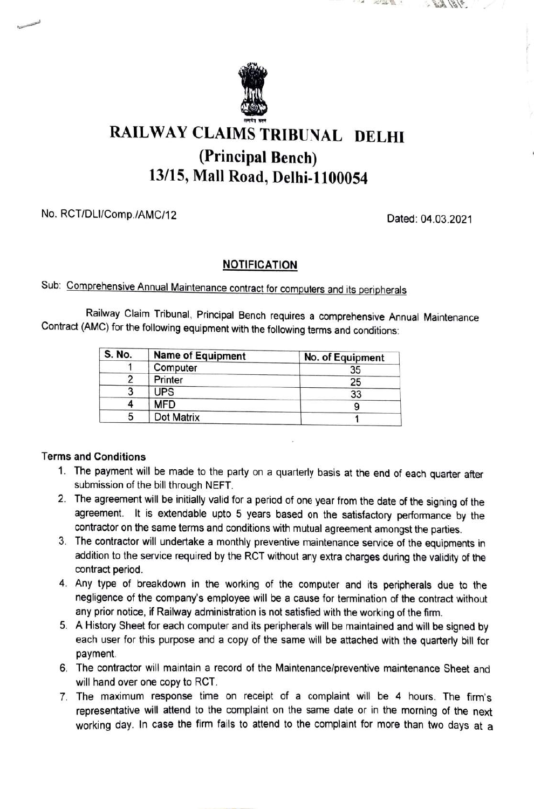

# RAILWAY CLAIMS TRIBUNAL DELHI (Principal Bench) 13/15, Mall Road, Delhi-1100054

### No. RCT/DLI/Comp./AMC/12 Dated: 04.03.2021

**POTOLE VI** 

 $186$ 

#### **NOTIFICATION**

## Sub: Comprehensive Annual Maintenance contract for computers and its peripherals

Railway Claim Tribunal, Principal Bench requires a comprehensive Annual Maintenance Contract (AMC) for the following equipment with the following terms and conditions:

| <b>S. No.</b> | <b>Name of Equipment</b> | No. of Equipment |
|---------------|--------------------------|------------------|
|               | Computer                 | 35               |
|               | Printer                  | 25               |
|               | <b>UPS</b>               | 33               |
|               | <b>MFD</b>               |                  |
|               | Dot Matrix               |                  |

#### Terms and Conditions

- 1. The payment will be made to the party on a quarterly basis at the end of each quarter after submission of the bill through NEFT.
- 2. The agreement will be initially valid for a period of one year from the date of the signing of the agreement. It is extendable upto 5 years based on the satistactory performance by the contractor on the same terms and conditions with mutual agreement amongst the parties.
- 3. The contractor will undertake a monthly preventive maintenance service of the equipments in addition to the service required by the RCT without any extra charges during the validity of the contract period.
- 4. Any type of breakdown in the working of the computer and its peripherals due to the negligence of the company's employee will be a cause for termination of the contract without any prior notice, if Railway administration is not satisfied with the working of the firm.
- 5. A History Sheet for each computer and its peripherals will be maintained and will be signed by each user for this purpose and a copy of the same will be attached with the quarterly bill for payment.
- 6. The contractor will maintain a record of the Maintenance/preventive maintenance Sheet and will hand over one copy to RCT.
- 7. The maximum response time on receipt of a complaint will be 4 hours. The firm's representative will attend to the complaint on the same date or in the morning of the next working day. In case the firm fails to attend to the complaint for more than two days at a